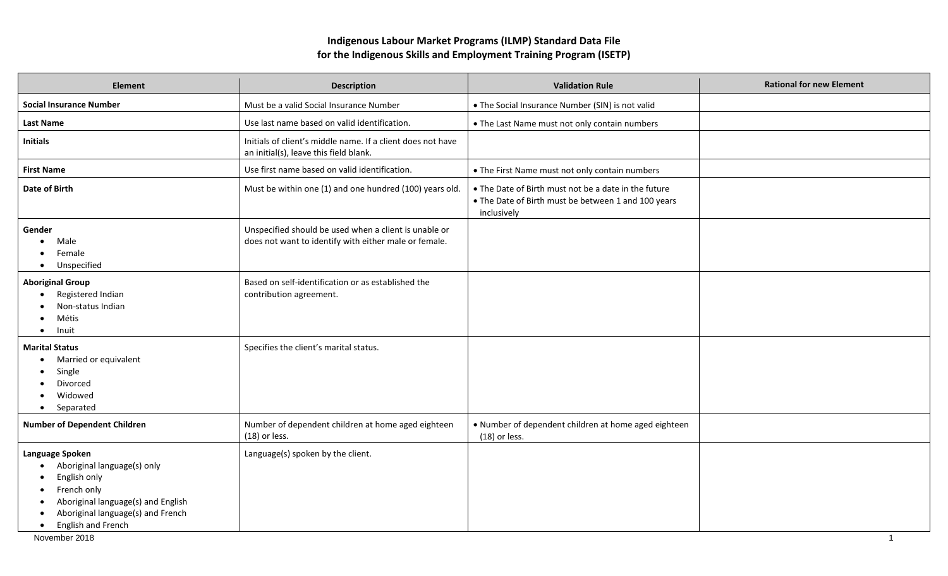## **Indigenous Labour Market Programs (ILMP) Standard Data File for the Indigenous Skills and Employment Training Program (ISETP)**

| Element                                                                                                                                                                                     | <b>Description</b>                                                                                             | <b>Validation Rule</b>                                                                                                     | <b>Rational for new Element</b> |
|---------------------------------------------------------------------------------------------------------------------------------------------------------------------------------------------|----------------------------------------------------------------------------------------------------------------|----------------------------------------------------------------------------------------------------------------------------|---------------------------------|
| <b>Social Insurance Number</b>                                                                                                                                                              | Must be a valid Social Insurance Number                                                                        | • The Social Insurance Number (SIN) is not valid                                                                           |                                 |
| <b>Last Name</b>                                                                                                                                                                            | Use last name based on valid identification.                                                                   | • The Last Name must not only contain numbers                                                                              |                                 |
| <b>Initials</b>                                                                                                                                                                             | Initials of client's middle name. If a client does not have<br>an initial(s), leave this field blank.          |                                                                                                                            |                                 |
| <b>First Name</b>                                                                                                                                                                           | Use first name based on valid identification.                                                                  | • The First Name must not only contain numbers                                                                             |                                 |
| Date of Birth                                                                                                                                                                               | Must be within one (1) and one hundred (100) years old.                                                        | • The Date of Birth must not be a date in the future<br>• The Date of Birth must be between 1 and 100 years<br>inclusively |                                 |
| Gender<br>Male<br>Female<br>Unspecified<br>$\bullet$                                                                                                                                        | Unspecified should be used when a client is unable or<br>does not want to identify with either male or female. |                                                                                                                            |                                 |
| <b>Aboriginal Group</b><br>Registered Indian<br>Non-status Indian<br>Métis<br>Inuit<br>$\bullet$                                                                                            | Based on self-identification or as established the<br>contribution agreement.                                  |                                                                                                                            |                                 |
| <b>Marital Status</b><br>Married or equivalent<br>Single<br>Divorced<br>Widowed<br>Separated<br>$\bullet$                                                                                   | Specifies the client's marital status.                                                                         |                                                                                                                            |                                 |
| <b>Number of Dependent Children</b>                                                                                                                                                         | Number of dependent children at home aged eighteen<br>$(18)$ or less.                                          | . Number of dependent children at home aged eighteen<br>$(18)$ or less.                                                    |                                 |
| Language Spoken<br>Aboriginal language(s) only<br>English only<br>French only<br>Aboriginal language(s) and English<br>Aboriginal language(s) and French<br>English and French<br>$\bullet$ | Language(s) spoken by the client.                                                                              |                                                                                                                            |                                 |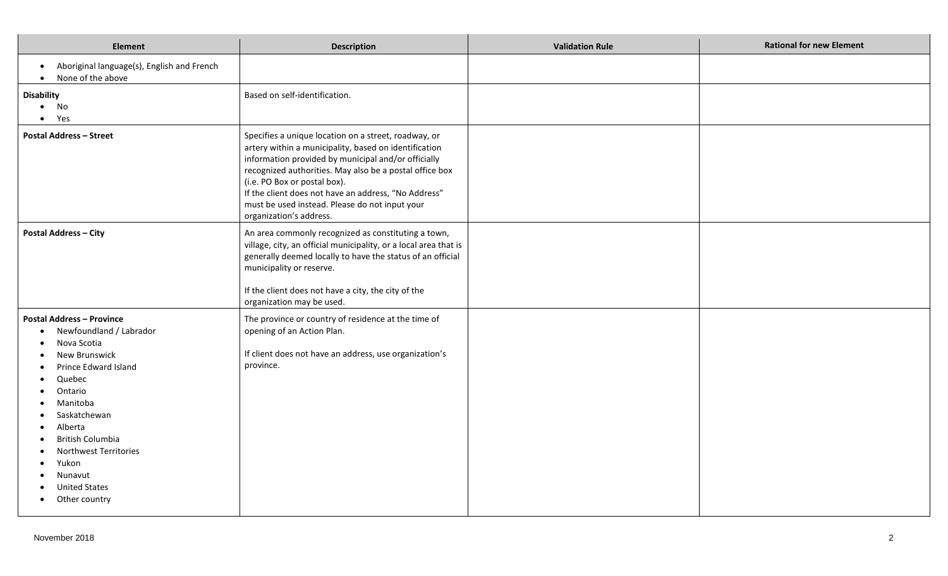| <b>Element</b>                                                                                                                                                                                                                                                                                         | <b>Description</b>                                                                                                                                                                                                                                                                                                                                                                                   | <b>Validation Rule</b> | <b>Rational for new Element</b> |
|--------------------------------------------------------------------------------------------------------------------------------------------------------------------------------------------------------------------------------------------------------------------------------------------------------|------------------------------------------------------------------------------------------------------------------------------------------------------------------------------------------------------------------------------------------------------------------------------------------------------------------------------------------------------------------------------------------------------|------------------------|---------------------------------|
| Aboriginal language(s), English and French<br>$\bullet$<br>None of the above<br>$\bullet$                                                                                                                                                                                                              |                                                                                                                                                                                                                                                                                                                                                                                                      |                        |                                 |
| <b>Disability</b><br>No<br>$\bullet$<br>Yes<br>$\bullet$                                                                                                                                                                                                                                               | Based on self-identification.                                                                                                                                                                                                                                                                                                                                                                        |                        |                                 |
| <b>Postal Address - Street</b>                                                                                                                                                                                                                                                                         | Specifies a unique location on a street, roadway, or<br>artery within a municipality, based on identification<br>information provided by municipal and/or officially<br>recognized authorities. May also be a postal office box<br>(i.e. PO Box or postal box).<br>If the client does not have an address, "No Address"<br>must be used instead. Please do not input your<br>organization's address. |                        |                                 |
| <b>Postal Address - City</b>                                                                                                                                                                                                                                                                           | An area commonly recognized as constituting a town,<br>village, city, an official municipality, or a local area that is<br>generally deemed locally to have the status of an official<br>municipality or reserve.<br>If the client does not have a city, the city of the<br>organization may be used.                                                                                                |                        |                                 |
| <b>Postal Address - Province</b><br>Newfoundland / Labrador<br>Nova Scotia<br>New Brunswick<br>Prince Edward Island<br>Quebec<br>Ontario<br>Manitoba<br>Saskatchewan<br>Alberta<br>British Columbia<br>Northwest Territories<br>Yukon<br>Nunavut<br><b>United States</b><br>Other country<br>$\bullet$ | The province or country of residence at the time of<br>opening of an Action Plan.<br>If client does not have an address, use organization's<br>province.                                                                                                                                                                                                                                             |                        |                                 |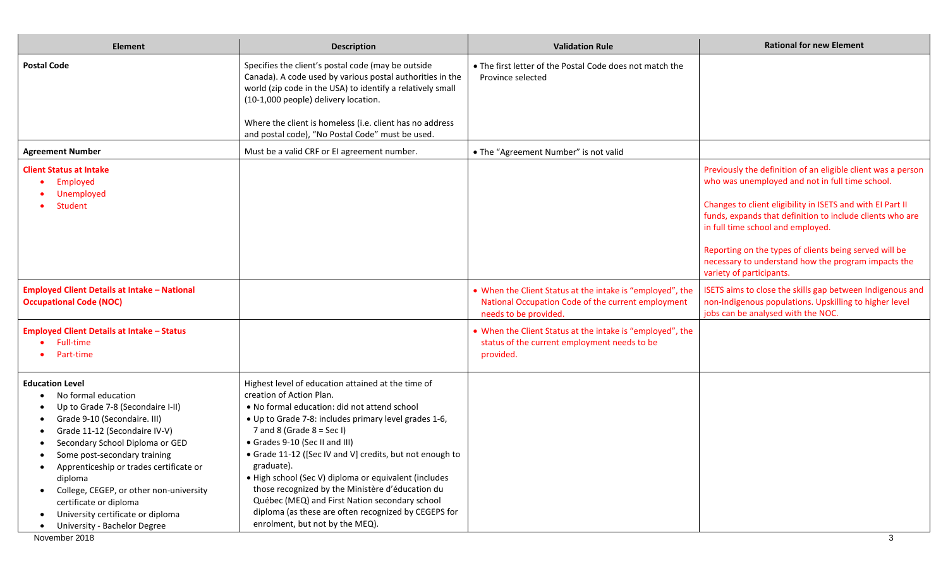| <b>Element</b>                                                                                                                                                                                                                                                                                                                                                                                                         | <b>Description</b>                                                                                                                                                                                                                                                                                                                                                                                                                                                                                                                                                                            | <b>Validation Rule</b>                                                                                                                  | <b>Rational for new Element</b>                                                                                                                              |
|------------------------------------------------------------------------------------------------------------------------------------------------------------------------------------------------------------------------------------------------------------------------------------------------------------------------------------------------------------------------------------------------------------------------|-----------------------------------------------------------------------------------------------------------------------------------------------------------------------------------------------------------------------------------------------------------------------------------------------------------------------------------------------------------------------------------------------------------------------------------------------------------------------------------------------------------------------------------------------------------------------------------------------|-----------------------------------------------------------------------------------------------------------------------------------------|--------------------------------------------------------------------------------------------------------------------------------------------------------------|
| <b>Postal Code</b>                                                                                                                                                                                                                                                                                                                                                                                                     | Specifies the client's postal code (may be outside<br>Canada). A code used by various postal authorities in the<br>world (zip code in the USA) to identify a relatively small<br>(10-1,000 people) delivery location.<br>Where the client is homeless (i.e. client has no address                                                                                                                                                                                                                                                                                                             | • The first letter of the Postal Code does not match the<br>Province selected                                                           |                                                                                                                                                              |
|                                                                                                                                                                                                                                                                                                                                                                                                                        | and postal code), "No Postal Code" must be used.                                                                                                                                                                                                                                                                                                                                                                                                                                                                                                                                              |                                                                                                                                         |                                                                                                                                                              |
| <b>Agreement Number</b>                                                                                                                                                                                                                                                                                                                                                                                                | Must be a valid CRF or El agreement number.                                                                                                                                                                                                                                                                                                                                                                                                                                                                                                                                                   | • The "Agreement Number" is not valid                                                                                                   |                                                                                                                                                              |
| <b>Client Status at Intake</b><br>Employed<br>Unemployed                                                                                                                                                                                                                                                                                                                                                               |                                                                                                                                                                                                                                                                                                                                                                                                                                                                                                                                                                                               |                                                                                                                                         | Previously the definition of an eligible client was a person<br>who was unemployed and not in full time school.                                              |
| Student                                                                                                                                                                                                                                                                                                                                                                                                                |                                                                                                                                                                                                                                                                                                                                                                                                                                                                                                                                                                                               |                                                                                                                                         | Changes to client eligibility in ISETS and with EI Part II<br>funds, expands that definition to include clients who are<br>in full time school and employed. |
|                                                                                                                                                                                                                                                                                                                                                                                                                        |                                                                                                                                                                                                                                                                                                                                                                                                                                                                                                                                                                                               |                                                                                                                                         | Reporting on the types of clients being served will be<br>necessary to understand how the program impacts the<br>variety of participants.                    |
| <b>Employed Client Details at Intake - National</b><br><b>Occupational Code (NOC)</b>                                                                                                                                                                                                                                                                                                                                  |                                                                                                                                                                                                                                                                                                                                                                                                                                                                                                                                                                                               | • When the Client Status at the intake is "employed", the<br>National Occupation Code of the current employment<br>needs to be provided | ISETS aims to close the skills gap between Indigenous and<br>non-Indigenous populations. Upskilling to higher level<br>jobs can be analysed with the NOC.    |
| <b>Employed Client Details at Intake - Status</b><br><b>Full-time</b><br>Part-time                                                                                                                                                                                                                                                                                                                                     |                                                                                                                                                                                                                                                                                                                                                                                                                                                                                                                                                                                               | • When the Client Status at the intake is "employed", the<br>status of the current employment needs to be<br>provided.                  |                                                                                                                                                              |
| <b>Education Level</b><br>No formal education<br>Up to Grade 7-8 (Secondaire I-II)<br>Grade 9-10 (Secondaire. III)<br>Grade 11-12 (Secondaire IV-V)<br>Secondary School Diploma or GED<br>Some post-secondary training<br>Apprenticeship or trades certificate or<br>diploma<br>College, CEGEP, or other non-university<br>certificate or diploma<br>University certificate or diploma<br>University - Bachelor Degree | Highest level of education attained at the time of<br>creation of Action Plan.<br>• No formal education: did not attend school<br>. Up to Grade 7-8: includes primary level grades 1-6,<br>7 and 8 (Grade $8 = Sec 1$ )<br>• Grades 9-10 (Sec II and III)<br>• Grade 11-12 ([Sec IV and V] credits, but not enough to<br>graduate).<br>· High school (Sec V) diploma or equivalent (includes<br>those recognized by the Ministère d'éducation du<br>Québec (MEQ) and First Nation secondary school<br>diploma (as these are often recognized by CEGEPS for<br>enrolment, but not by the MEQ). |                                                                                                                                         |                                                                                                                                                              |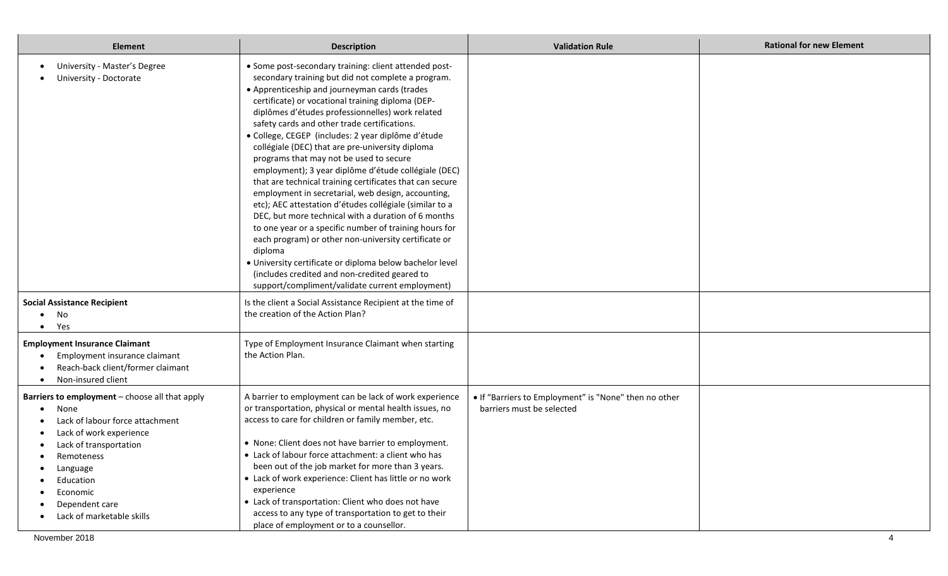| <b>Element</b>                                                                                                                                                                                                                                   | <b>Description</b>                                                                                                                                                                                                                                                                                                                                                                                                                                                                                                                                                                                                                                                                                                                                                                                                                                                                                                                                                                                                                                                  | <b>Validation Rule</b>                                                             | <b>Rational for new Element</b> |
|--------------------------------------------------------------------------------------------------------------------------------------------------------------------------------------------------------------------------------------------------|---------------------------------------------------------------------------------------------------------------------------------------------------------------------------------------------------------------------------------------------------------------------------------------------------------------------------------------------------------------------------------------------------------------------------------------------------------------------------------------------------------------------------------------------------------------------------------------------------------------------------------------------------------------------------------------------------------------------------------------------------------------------------------------------------------------------------------------------------------------------------------------------------------------------------------------------------------------------------------------------------------------------------------------------------------------------|------------------------------------------------------------------------------------|---------------------------------|
| University - Master's Degree<br>University - Doctorate                                                                                                                                                                                           | • Some post-secondary training: client attended post-<br>secondary training but did not complete a program.<br>• Apprenticeship and journeyman cards (trades<br>certificate) or vocational training diploma (DEP-<br>diplômes d'études professionnelles) work related<br>safety cards and other trade certifications.<br>· College, CEGEP (includes: 2 year diplôme d'étude<br>collégiale (DEC) that are pre-university diploma<br>programs that may not be used to secure<br>employment); 3 year diplôme d'étude collégiale (DEC)<br>that are technical training certificates that can secure<br>employment in secretarial, web design, accounting,<br>etc); AEC attestation d'études collégiale (similar to a<br>DEC, but more technical with a duration of 6 months<br>to one year or a specific number of training hours for<br>each program) or other non-university certificate or<br>diploma<br>· University certificate or diploma below bachelor level<br>(includes credited and non-credited geared to<br>support/compliment/validate current employment) |                                                                                    |                                 |
| <b>Social Assistance Recipient</b><br>No<br>Yes                                                                                                                                                                                                  | Is the client a Social Assistance Recipient at the time of<br>the creation of the Action Plan?                                                                                                                                                                                                                                                                                                                                                                                                                                                                                                                                                                                                                                                                                                                                                                                                                                                                                                                                                                      |                                                                                    |                                 |
| <b>Employment Insurance Claimant</b><br>Employment insurance claimant<br>Reach-back client/former claimant<br>Non-insured client                                                                                                                 | Type of Employment Insurance Claimant when starting<br>the Action Plan.                                                                                                                                                                                                                                                                                                                                                                                                                                                                                                                                                                                                                                                                                                                                                                                                                                                                                                                                                                                             |                                                                                    |                                 |
| Barriers to employment - choose all that apply<br>None<br>Lack of labour force attachment<br>Lack of work experience<br>Lack of transportation<br>Remoteness<br>Language<br>Education<br>Economic<br>Dependent care<br>Lack of marketable skills | A barrier to employment can be lack of work experience<br>or transportation, physical or mental health issues, no<br>access to care for children or family member, etc.<br>• None: Client does not have barrier to employment.<br>• Lack of labour force attachment: a client who has<br>been out of the job market for more than 3 years.<br>• Lack of work experience: Client has little or no work<br>experience<br>• Lack of transportation: Client who does not have<br>access to any type of transportation to get to their<br>place of employment or to a counsellor.                                                                                                                                                                                                                                                                                                                                                                                                                                                                                        | . If "Barriers to Employment" is "None" then no other<br>barriers must be selected |                                 |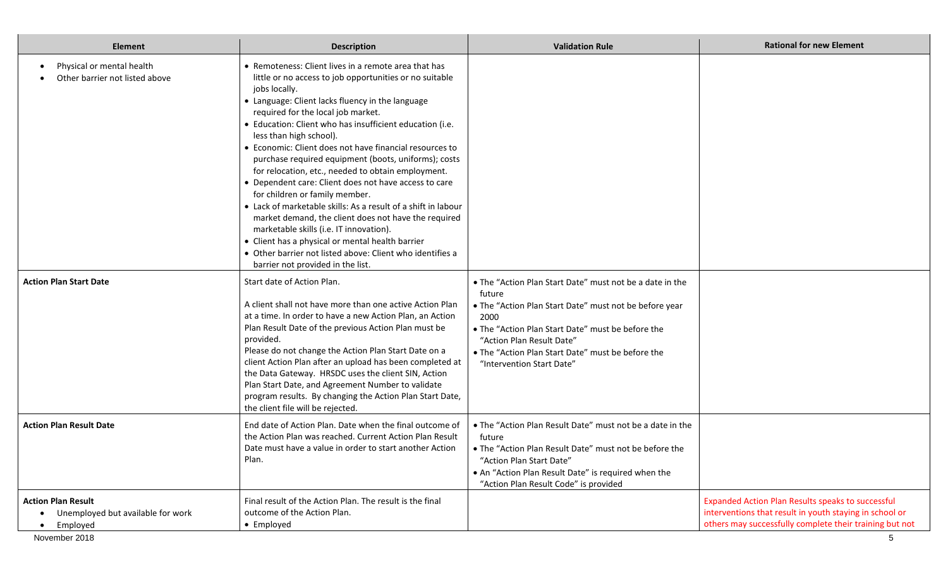| <b>Element</b>                                                                              | <b>Description</b>                                                                                                                                                                                                                                                                                                                                                                                                                                                                                                                                                                                                                                                                                                                                                                                                                                                                                              | <b>Validation Rule</b>                                                                                                                                                                                                                                                                                   | <b>Rational for new Element</b>                                                                                                                                              |
|---------------------------------------------------------------------------------------------|-----------------------------------------------------------------------------------------------------------------------------------------------------------------------------------------------------------------------------------------------------------------------------------------------------------------------------------------------------------------------------------------------------------------------------------------------------------------------------------------------------------------------------------------------------------------------------------------------------------------------------------------------------------------------------------------------------------------------------------------------------------------------------------------------------------------------------------------------------------------------------------------------------------------|----------------------------------------------------------------------------------------------------------------------------------------------------------------------------------------------------------------------------------------------------------------------------------------------------------|------------------------------------------------------------------------------------------------------------------------------------------------------------------------------|
| Physical or mental health<br>Other barrier not listed above                                 | • Remoteness: Client lives in a remote area that has<br>little or no access to job opportunities or no suitable<br>jobs locally.<br>• Language: Client lacks fluency in the language<br>required for the local job market.<br>• Education: Client who has insufficient education (i.e.<br>less than high school).<br>• Economic: Client does not have financial resources to<br>purchase required equipment (boots, uniforms); costs<br>for relocation, etc., needed to obtain employment.<br>• Dependent care: Client does not have access to care<br>for children or family member.<br>• Lack of marketable skills: As a result of a shift in labour<br>market demand, the client does not have the required<br>marketable skills (i.e. IT innovation).<br>• Client has a physical or mental health barrier<br>• Other barrier not listed above: Client who identifies a<br>barrier not provided in the list. |                                                                                                                                                                                                                                                                                                          |                                                                                                                                                                              |
| <b>Action Plan Start Date</b>                                                               | Start date of Action Plan.<br>A client shall not have more than one active Action Plan<br>at a time. In order to have a new Action Plan, an Action<br>Plan Result Date of the previous Action Plan must be<br>provided.<br>Please do not change the Action Plan Start Date on a<br>client Action Plan after an upload has been completed at<br>the Data Gateway. HRSDC uses the client SIN, Action<br>Plan Start Date, and Agreement Number to validate<br>program results. By changing the Action Plan Start Date,<br>the client file will be rejected.                                                                                                                                                                                                                                                                                                                                                        | • The "Action Plan Start Date" must not be a date in the<br>future<br>. The "Action Plan Start Date" must not be before year<br>2000<br>. The "Action Plan Start Date" must be before the<br>"Action Plan Result Date"<br>. The "Action Plan Start Date" must be before the<br>"Intervention Start Date" |                                                                                                                                                                              |
| <b>Action Plan Result Date</b>                                                              | End date of Action Plan. Date when the final outcome of<br>the Action Plan was reached. Current Action Plan Result<br>Date must have a value in order to start another Action<br>Plan.                                                                                                                                                                                                                                                                                                                                                                                                                                                                                                                                                                                                                                                                                                                          | • The "Action Plan Result Date" must not be a date in the<br>future<br>• The "Action Plan Result Date" must not be before the<br>"Action Plan Start Date"<br>. An "Action Plan Result Date" is required when the<br>"Action Plan Result Code" is provided                                                |                                                                                                                                                                              |
| <b>Action Plan Result</b><br>Unemployed but available for work<br>Employed<br>November 2018 | Final result of the Action Plan. The result is the final<br>outcome of the Action Plan.<br>• Employed                                                                                                                                                                                                                                                                                                                                                                                                                                                                                                                                                                                                                                                                                                                                                                                                           |                                                                                                                                                                                                                                                                                                          | Expanded Action Plan Results speaks to successful<br>interventions that result in youth staying in school or<br>others may successfully complete their training but not<br>5 |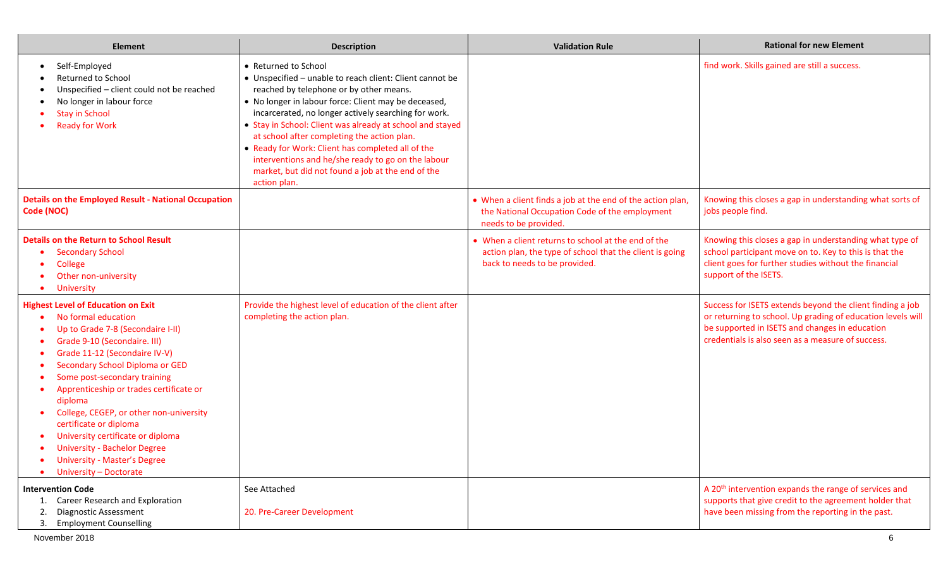| <b>Element</b>                                                                                                                                                                                                                                                                                                                                                                                                                                                                                                    | <b>Description</b>                                                                                                                                                                                                                                                                                                                                                                                                                                                                                                                      | <b>Validation Rule</b>                                                                                                                          | <b>Rational for new Element</b>                                                                                                                                                                                                 |
|-------------------------------------------------------------------------------------------------------------------------------------------------------------------------------------------------------------------------------------------------------------------------------------------------------------------------------------------------------------------------------------------------------------------------------------------------------------------------------------------------------------------|-----------------------------------------------------------------------------------------------------------------------------------------------------------------------------------------------------------------------------------------------------------------------------------------------------------------------------------------------------------------------------------------------------------------------------------------------------------------------------------------------------------------------------------------|-------------------------------------------------------------------------------------------------------------------------------------------------|---------------------------------------------------------------------------------------------------------------------------------------------------------------------------------------------------------------------------------|
| Self-Employed<br>Returned to School<br>Unspecified - client could not be reached<br>No longer in labour force<br><b>Stay in School</b><br><b>Ready for Work</b>                                                                                                                                                                                                                                                                                                                                                   | • Returned to School<br>• Unspecified - unable to reach client: Client cannot be<br>reached by telephone or by other means.<br>• No longer in labour force: Client may be deceased,<br>incarcerated, no longer actively searching for work.<br>• Stay in School: Client was already at school and stayed<br>at school after completing the action plan.<br>• Ready for Work: Client has completed all of the<br>interventions and he/she ready to go on the labour<br>market, but did not found a job at the end of the<br>action plan. |                                                                                                                                                 | find work. Skills gained are still a success.                                                                                                                                                                                   |
| <b>Details on the Employed Result - National Occupation</b><br>Code (NOC)                                                                                                                                                                                                                                                                                                                                                                                                                                         |                                                                                                                                                                                                                                                                                                                                                                                                                                                                                                                                         | • When a client finds a job at the end of the action plan,<br>the National Occupation Code of the employment<br>needs to be provided.           | Knowing this closes a gap in understanding what sorts of<br>jobs people find.                                                                                                                                                   |
| <b>Details on the Return to School Result</b><br><b>Secondary School</b><br>College<br>Other non-university<br><b>University</b>                                                                                                                                                                                                                                                                                                                                                                                  |                                                                                                                                                                                                                                                                                                                                                                                                                                                                                                                                         | • When a client returns to school at the end of the<br>action plan, the type of school that the client is going<br>back to needs to be provided | Knowing this closes a gap in understanding what type of<br>school participant move on to. Key to this is that the<br>client goes for further studies without the financial<br>support of the ISETS.                             |
| <b>Highest Level of Education on Exit</b><br>No formal education<br>Up to Grade 7-8 (Secondaire I-II)<br>Grade 9-10 (Secondaire. III)<br>Grade 11-12 (Secondaire IV-V)<br>Secondary School Diploma or GED<br>Some post-secondary training<br>Apprenticeship or trades certificate or<br>diploma<br>College, CEGEP, or other non-university<br>certificate or diploma<br>University certificate or diploma<br><b>University - Bachelor Degree</b><br><b>University - Master's Degree</b><br>University - Doctorate | Provide the highest level of education of the client after<br>completing the action plan.                                                                                                                                                                                                                                                                                                                                                                                                                                               |                                                                                                                                                 | Success for ISETS extends beyond the client finding a job<br>or returning to school. Up grading of education levels will<br>be supported in ISETS and changes in education<br>credentials is also seen as a measure of success. |
| <b>Intervention Code</b><br>1. Career Research and Exploration<br><b>Diagnostic Assessment</b><br>2.<br>3. Employment Counselling                                                                                                                                                                                                                                                                                                                                                                                 | See Attached<br>20. Pre-Career Development                                                                                                                                                                                                                                                                                                                                                                                                                                                                                              |                                                                                                                                                 | A 20 <sup>th</sup> intervention expands the range of services and<br>supports that give credit to the agreement holder that<br>have been missing from the reporting in the past.                                                |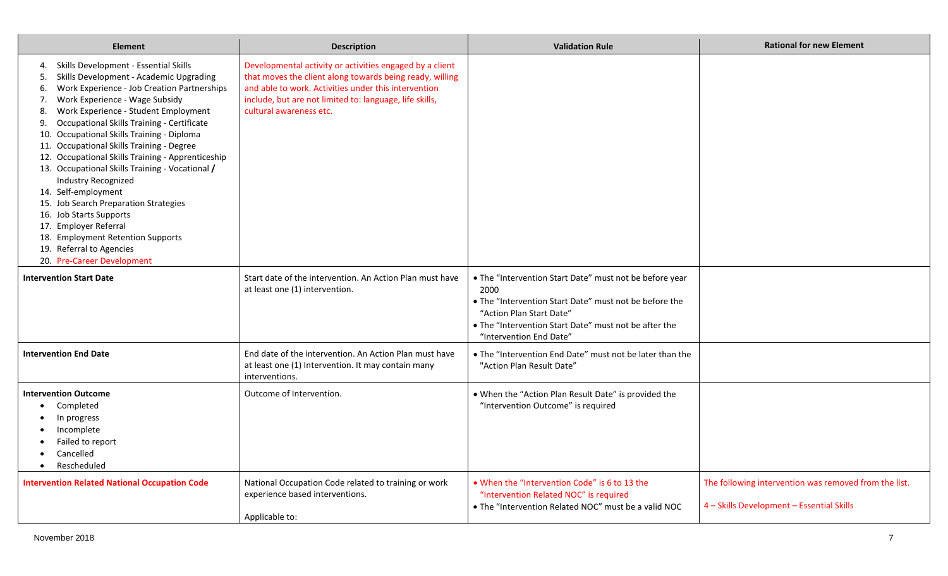| <b>Element</b>                                                                                                                                                                                                                                                                                                                                                                                                                                                                                                                                                                                                                                                                                                                                  | <b>Description</b>                                                                                                                                                                                                                                                 | <b>Validation Rule</b>                                                                                                                                                                                                                    | <b>Rational for new Element</b>                                                                    |
|-------------------------------------------------------------------------------------------------------------------------------------------------------------------------------------------------------------------------------------------------------------------------------------------------------------------------------------------------------------------------------------------------------------------------------------------------------------------------------------------------------------------------------------------------------------------------------------------------------------------------------------------------------------------------------------------------------------------------------------------------|--------------------------------------------------------------------------------------------------------------------------------------------------------------------------------------------------------------------------------------------------------------------|-------------------------------------------------------------------------------------------------------------------------------------------------------------------------------------------------------------------------------------------|----------------------------------------------------------------------------------------------------|
| Skills Development - Essential Skills<br>4.<br>Skills Development - Academic Upgrading<br>5.<br>Work Experience - Job Creation Partnerships<br>6.<br>Work Experience - Wage Subsidy<br>7.<br>Work Experience - Student Employment<br>8.<br>Occupational Skills Training - Certificate<br>9.<br>10. Occupational Skills Training - Diploma<br>11. Occupational Skills Training - Degree<br>12. Occupational Skills Training - Apprenticeship<br>13. Occupational Skills Training - Vocational /<br><b>Industry Recognized</b><br>14. Self-employment<br>15. Job Search Preparation Strategies<br>16. Job Starts Supports<br>17. Employer Referral<br>18. Employment Retention Supports<br>19. Referral to Agencies<br>20. Pre-Career Development | Developmental activity or activities engaged by a client<br>that moves the client along towards being ready, willing<br>and able to work. Activities under this intervention<br>include, but are not limited to: language, life skills,<br>cultural awareness etc. |                                                                                                                                                                                                                                           |                                                                                                    |
| <b>Intervention Start Date</b>                                                                                                                                                                                                                                                                                                                                                                                                                                                                                                                                                                                                                                                                                                                  | Start date of the intervention. An Action Plan must have<br>at least one (1) intervention.                                                                                                                                                                         | . The "Intervention Start Date" must not be before year<br>2000<br>. The "Intervention Start Date" must not be before the<br>"Action Plan Start Date"<br>. The "Intervention Start Date" must not be after the<br>"Intervention End Date" |                                                                                                    |
| <b>Intervention End Date</b>                                                                                                                                                                                                                                                                                                                                                                                                                                                                                                                                                                                                                                                                                                                    | End date of the intervention. An Action Plan must have<br>at least one (1) Intervention. It may contain many<br>interventions.                                                                                                                                     | • The "Intervention End Date" must not be later than the<br>"Action Plan Result Date"                                                                                                                                                     |                                                                                                    |
| <b>Intervention Outcome</b><br>Completed<br>In progress<br>Incomplete<br>Failed to report<br>Cancelled<br>Rescheduled                                                                                                                                                                                                                                                                                                                                                                                                                                                                                                                                                                                                                           | Outcome of Intervention.                                                                                                                                                                                                                                           | . When the "Action Plan Result Date" is provided the<br>"Intervention Outcome" is required                                                                                                                                                |                                                                                                    |
| <b>Intervention Related National Occupation Code</b>                                                                                                                                                                                                                                                                                                                                                                                                                                                                                                                                                                                                                                                                                            | National Occupation Code related to training or work<br>experience based interventions.<br>Applicable to:                                                                                                                                                          | . When the "Intervention Code" is 6 to 13 the<br>"Intervention Related NOC" is required<br>. The "Intervention Related NOC" must be a valid NOC                                                                                           | The following intervention was removed from the list.<br>4 - Skills Development - Essential Skills |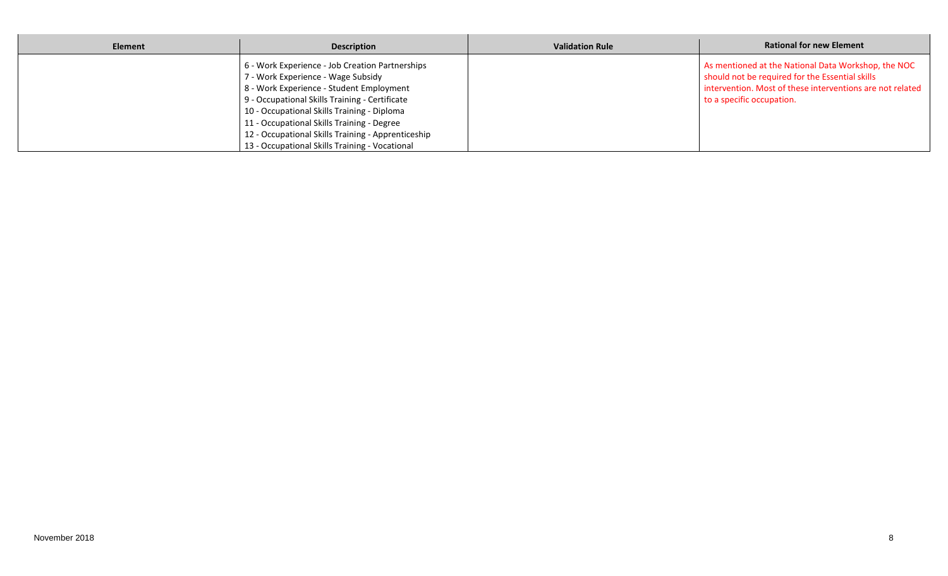| Element | <b>Description</b>                                                                                                                                                                                                                                                                                                                                                                       | <b>Validation Rule</b> | <b>Rational for new Element</b>                                                                                                                                                                  |
|---------|------------------------------------------------------------------------------------------------------------------------------------------------------------------------------------------------------------------------------------------------------------------------------------------------------------------------------------------------------------------------------------------|------------------------|--------------------------------------------------------------------------------------------------------------------------------------------------------------------------------------------------|
|         | 6 - Work Experience - Job Creation Partnerships<br>7 - Work Experience - Wage Subsidy<br>8 - Work Experience - Student Employment<br>9 - Occupational Skills Training - Certificate<br>10 - Occupational Skills Training - Diploma<br>11 - Occupational Skills Training - Degree<br>12 - Occupational Skills Training - Apprenticeship<br>13 - Occupational Skills Training - Vocational |                        | As mentioned at the National Data Workshop, the NOC<br>should not be required for the Essential skills<br>intervention. Most of these interventions are not related<br>to a specific occupation. |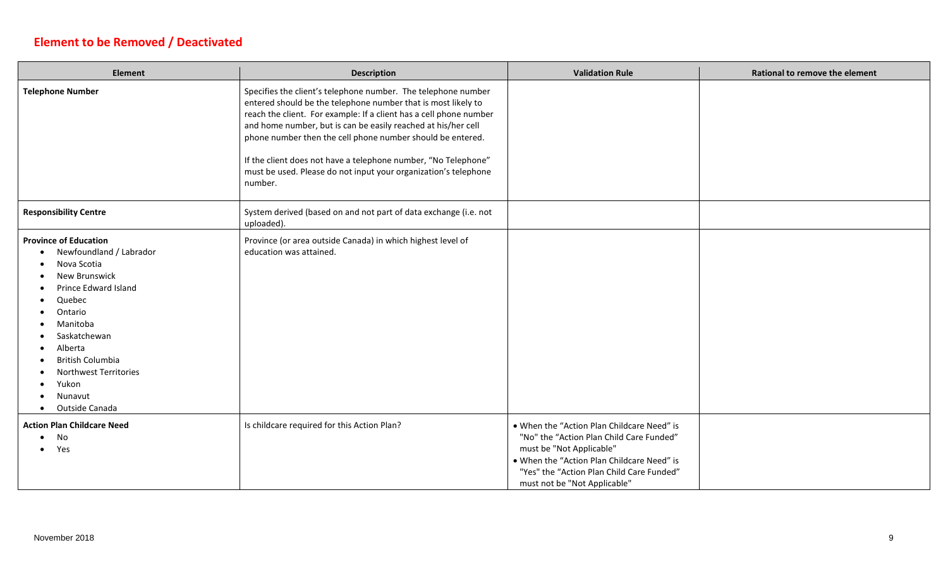## **Element to be Removed / Deactivated**

 $\blacksquare$ 

| <b>Element</b>                                                                                                                                                                                                                                                              | <b>Description</b>                                                                                                                                                                                                                                                                                                                                                                                                                                                                  | <b>Validation Rule</b>                                                                                                                                                                                                                        | <b>Rational to remove the element</b> |
|-----------------------------------------------------------------------------------------------------------------------------------------------------------------------------------------------------------------------------------------------------------------------------|-------------------------------------------------------------------------------------------------------------------------------------------------------------------------------------------------------------------------------------------------------------------------------------------------------------------------------------------------------------------------------------------------------------------------------------------------------------------------------------|-----------------------------------------------------------------------------------------------------------------------------------------------------------------------------------------------------------------------------------------------|---------------------------------------|
| <b>Telephone Number</b>                                                                                                                                                                                                                                                     | Specifies the client's telephone number. The telephone number<br>entered should be the telephone number that is most likely to<br>reach the client. For example: If a client has a cell phone number<br>and home number, but is can be easily reached at his/her cell<br>phone number then the cell phone number should be entered.<br>If the client does not have a telephone number, "No Telephone"<br>must be used. Please do not input your organization's telephone<br>number. |                                                                                                                                                                                                                                               |                                       |
| <b>Responsibility Centre</b>                                                                                                                                                                                                                                                | System derived (based on and not part of data exchange (i.e. not<br>uploaded).                                                                                                                                                                                                                                                                                                                                                                                                      |                                                                                                                                                                                                                                               |                                       |
| <b>Province of Education</b><br>Newfoundland / Labrador<br>Nova Scotia<br>New Brunswick<br>Prince Edward Island<br>Quebec<br>Ontario<br>Manitoba<br>Saskatchewan<br>Alberta<br>British Columbia<br>Northwest Territories<br>Yukon<br>Nunavut<br>Outside Canada<br>$\bullet$ | Province (or area outside Canada) in which highest level of<br>education was attained.                                                                                                                                                                                                                                                                                                                                                                                              |                                                                                                                                                                                                                                               |                                       |
| <b>Action Plan Childcare Need</b><br>No<br>Yes                                                                                                                                                                                                                              | Is childcare required for this Action Plan?                                                                                                                                                                                                                                                                                                                                                                                                                                         | . When the "Action Plan Childcare Need" is<br>"No" the "Action Plan Child Care Funded"<br>must be "Not Applicable"<br>. When the "Action Plan Childcare Need" is<br>"Yes" the "Action Plan Child Care Funded"<br>must not be "Not Applicable" |                                       |

—

-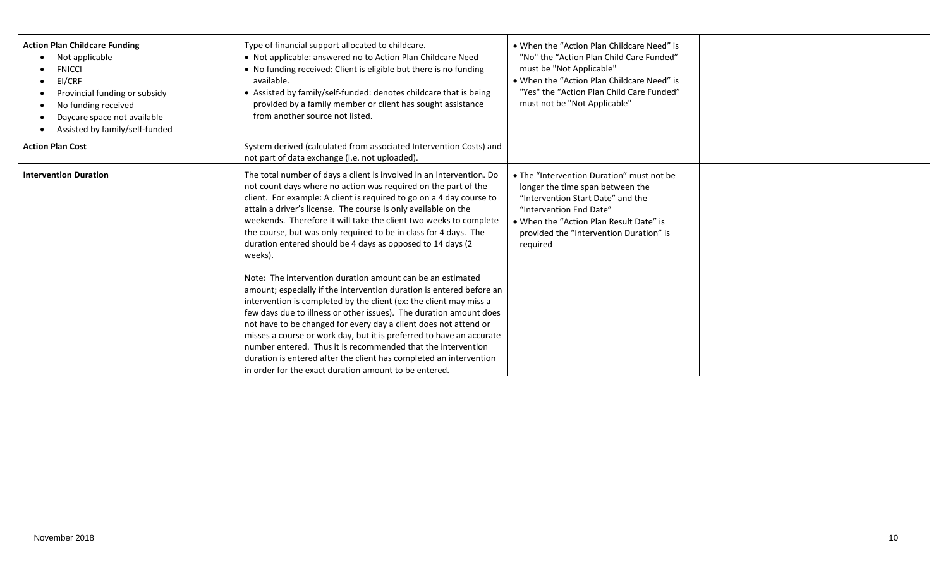| <b>Action Plan Childcare Funding</b><br>Not applicable<br><b>FNICCI</b><br>EI/CRF<br>Provincial funding or subsidy<br>No funding received<br>Daycare space not available<br>Assisted by family/self-funded | Type of financial support allocated to childcare.<br>• Not applicable: answered no to Action Plan Childcare Need<br>• No funding received: Client is eligible but there is no funding<br>available.<br>• Assisted by family/self-funded: denotes childcare that is being<br>provided by a family member or client has sought assistance<br>from another source not listed.                                                                                                                                                                                                                                                                                                                                                                                                                                                                                                                                                                                                                                                                                                                                                       | • When the "Action Plan Childcare Need" is<br>"No" the "Action Plan Child Care Funded"<br>must be "Not Applicable"<br>• When the "Action Plan Childcare Need" is<br>"Yes" the "Action Plan Child Care Funded"<br>must not be "Not Applicable"   |  |
|------------------------------------------------------------------------------------------------------------------------------------------------------------------------------------------------------------|----------------------------------------------------------------------------------------------------------------------------------------------------------------------------------------------------------------------------------------------------------------------------------------------------------------------------------------------------------------------------------------------------------------------------------------------------------------------------------------------------------------------------------------------------------------------------------------------------------------------------------------------------------------------------------------------------------------------------------------------------------------------------------------------------------------------------------------------------------------------------------------------------------------------------------------------------------------------------------------------------------------------------------------------------------------------------------------------------------------------------------|-------------------------------------------------------------------------------------------------------------------------------------------------------------------------------------------------------------------------------------------------|--|
| <b>Action Plan Cost</b>                                                                                                                                                                                    | System derived (calculated from associated Intervention Costs) and<br>not part of data exchange (i.e. not uploaded).                                                                                                                                                                                                                                                                                                                                                                                                                                                                                                                                                                                                                                                                                                                                                                                                                                                                                                                                                                                                             |                                                                                                                                                                                                                                                 |  |
| <b>Intervention Duration</b>                                                                                                                                                                               | The total number of days a client is involved in an intervention. Do<br>not count days where no action was required on the part of the<br>client. For example: A client is required to go on a 4 day course to<br>attain a driver's license. The course is only available on the<br>weekends. Therefore it will take the client two weeks to complete<br>the course, but was only required to be in class for 4 days. The<br>duration entered should be 4 days as opposed to 14 days (2)<br>weeks).<br>Note: The intervention duration amount can be an estimated<br>amount; especially if the intervention duration is entered before an<br>intervention is completed by the client (ex: the client may miss a<br>few days due to illness or other issues). The duration amount does<br>not have to be changed for every day a client does not attend or<br>misses a course or work day, but it is preferred to have an accurate<br>number entered. Thus it is recommended that the intervention<br>duration is entered after the client has completed an intervention<br>in order for the exact duration amount to be entered. | • The "Intervention Duration" must not be<br>longer the time span between the<br>"Intervention Start Date" and the<br>"Intervention End Date"<br>. When the "Action Plan Result Date" is<br>provided the "Intervention Duration" is<br>required |  |